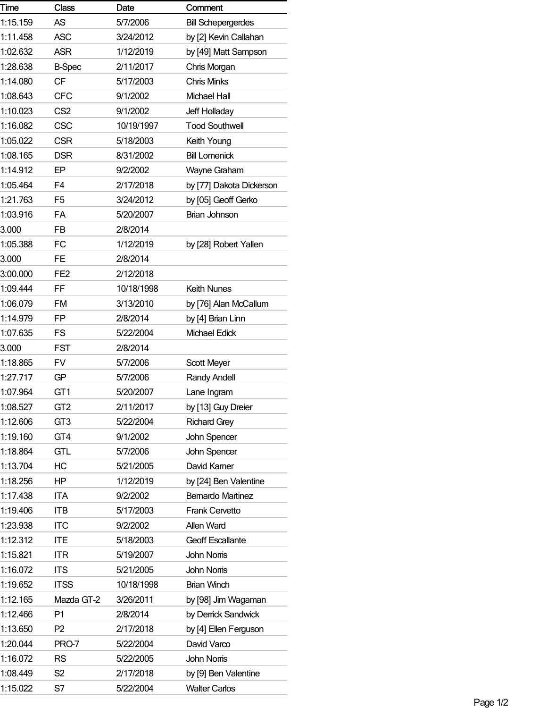| Time     | <b>Class</b>    | Date       | Comment                   |
|----------|-----------------|------------|---------------------------|
| 1:15.159 | AS              | 5/7/2006   | <b>Bill Schepergerdes</b> |
| 1:11.458 | <b>ASC</b>      | 3/24/2012  | by [2] Kevin Callahan     |
| 1:02.632 | <b>ASR</b>      | 1/12/2019  | by [49] Matt Sampson      |
| 1:28.638 | <b>B-Spec</b>   | 2/11/2017  | Chris Morgan              |
| 1:14.080 | <b>CF</b>       | 5/17/2003  | <b>Chris Minks</b>        |
| 1:08.643 | <b>CFC</b>      | 9/1/2002   | <b>Michael Hall</b>       |
| 1:10.023 | CS <sub>2</sub> | 9/1/2002   | Jeff Holladay             |
| 1:16.082 | <b>CSC</b>      | 10/19/1997 | <b>Tood Southwell</b>     |
| 1:05.022 | <b>CSR</b>      | 5/18/2003  | Keith Young               |
| 1:08.165 | <b>DSR</b>      | 8/31/2002  | <b>Bill Lomenick</b>      |
| 1:14.912 | EP              | 9/2/2002   | Wayne Graham              |
| 1:05.464 | F4              | 2/17/2018  | by [77] Dakota Dickerson  |
| 1:21.763 | F <sub>5</sub>  | 3/24/2012  | by [05] Geoff Gerko       |
| 1:03.916 | FA              | 5/20/2007  | Brian Johnson             |
| 3.000    | <b>FB</b>       | 2/8/2014   |                           |
| 1:05.388 | FC              | 1/12/2019  | by [28] Robert Yallen     |
| 3.000    | <b>FE</b>       | 2/8/2014   |                           |
| 3:00.000 | FE <sub>2</sub> | 2/12/2018  |                           |
| 1:09.444 | FF              | 10/18/1998 | <b>Keith Nunes</b>        |
| 1:06.079 | <b>FM</b>       | 3/13/2010  | by [76] Alan McCallum     |
| 1:14.979 | FP              | 2/8/2014   | by [4] Brian Linn         |
| 1:07.635 | FS              | 5/22/2004  | Michael Edick             |
| 3.000    | <b>FST</b>      | 2/8/2014   |                           |
| 1:18.865 | FV              | 5/7/2006   | Scott Meyer               |
| 1:27.717 | GP              | 5/7/2006   | Randy Andell              |
| 1:07.964 | GT <sub>1</sub> | 5/20/2007  | Lane Ingram               |
| 1:08.527 | GT <sub>2</sub> | 2/11/2017  | by [13] Guy Dreier        |
| 1:12.606 | GT <sub>3</sub> | 5/22/2004  | <b>Richard Grey</b>       |
| 1:19.160 | GT4             | 9/1/2002   | John Spencer              |
| 1:18.864 | <b>GTL</b>      | 5/7/2006   | John Spencer              |
| 1:13.704 | НC              | 5/21/2005  | David Kamer               |
| 1:18.256 | HP.             | 1/12/2019  | by [24] Ben Valentine     |
| 1:17.438 | <b>ITA</b>      | 9/2/2002   | <b>Bemardo Martinez</b>   |
| 1:19.406 | <b>ITB</b>      | 5/17/2003  | <b>Frank Cervetto</b>     |
| 1:23.938 | <b>ITC</b>      | 9/2/2002   | Allen Ward                |
| 1:12.312 | <b>ITE</b>      | 5/18/2003  | <b>Geoff Escallante</b>   |
| 1:15.821 | <b>ITR</b>      | 5/19/2007  | <b>John Noms</b>          |
| 1:16.072 | <b>ITS</b>      | 5/21/2005  | <b>John Noms</b>          |
| 1:19.652 | <b>ITSS</b>     | 10/18/1998 | <b>Brian Winch</b>        |
| 1:12.165 | Mazda GT-2      | 3/26/2011  | by [98] Jim Wagaman       |
| 1:12.466 | P <sub>1</sub>  | 2/8/2014   | by Derrick Sandwick       |
| 1:13.650 | P <sub>2</sub>  | 2/17/2018  | by [4] Ellen Ferguson     |
| 1:20.044 | PRO-7           | 5/22/2004  | David Varco               |
| 1:16.072 | <b>RS</b>       | 5/22/2005  | John Noms                 |
| 1:08.449 | S <sub>2</sub>  | 2/17/2018  | by [9] Ben Valentine      |
| 1:15.022 | S7              | 5/22/2004  | <b>Walter Carlos</b>      |